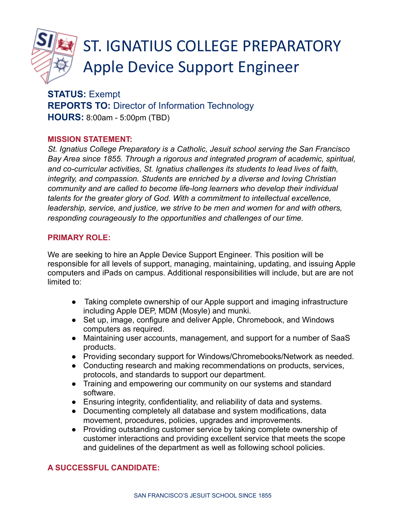

# ST. IGNATIUS COLLEGE PREPARATORY Apple Device Support Engineer

# **STATUS:** Exempt **REPORTS TO:** Director of Information Technology **HOURS:** 8:00am - 5:00pm (TBD)

### **MISSION STATEMENT:**

*St. Ignatius College Preparatory is a Catholic, Jesuit school serving the San Francisco Bay Area since 1855. Through a rigorous and integrated program of academic, spiritual, and co-curricular activities, St. Ignatius challenges its students to lead lives of faith, integrity, and compassion. Students are enriched by a diverse and loving Christian community and are called to become life-long learners who develop their individual talents for the greater glory of God. With a commitment to intellectual excellence, leadership, service, and justice, we strive to be men and women for and with others, responding courageously to the opportunities and challenges of our time.*

#### **PRIMARY ROLE:**

We are seeking to hire an Apple Device Support Engineer. This position will be responsible for all levels of support, managing, maintaining, updating, and issuing Apple computers and iPads on campus. Additional responsibilities will include, but are are not limited to:

- Taking complete ownership of our Apple support and imaging infrastructure including Apple DEP, MDM (Mosyle) and munki.
- Set up, image, configure and deliver Apple, Chromebook, and Windows computers as required.
- Maintaining user accounts, management, and support for a number of SaaS products.
- Providing secondary support for Windows/Chromebooks/Network as needed.
- Conducting research and making recommendations on products, services, protocols, and standards to support our department.
- Training and empowering our community on our systems and standard software.
- Ensuring integrity, confidentiality, and reliability of data and systems.
- Documenting completely all database and system modifications, data movement, procedures, policies, upgrades and improvements.
- Providing outstanding customer service by taking complete ownership of customer interactions and providing excellent service that meets the scope and guidelines of the department as well as following school policies.

# **A SUCCESSFUL CANDIDATE:**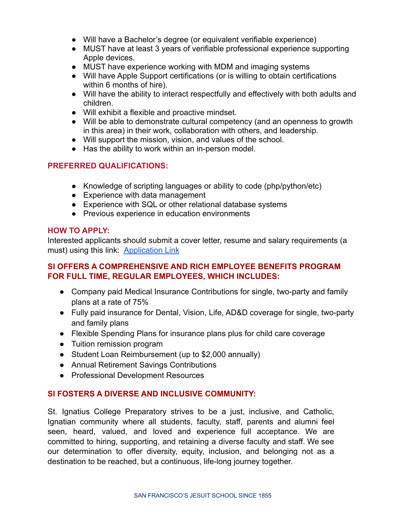- Will have a Bachelor's degree (or equivalent verifiable experience)
- MUST have at least 3 years of verifiable professional experience supporting Apple devices.
- MUST have experience working with MDM and imaging systems
- Will have Apple Support certifications (or is willing to obtain certifications within 6 months of hire).
- Will have the ability to interact respectfully and effectively with both adults and children.
- Will exhibit a flexible and proactive mindset.
- Will be able to demonstrate cultural competency (and an openness to growth in this area) in their work, collaboration with others, and leadership.
- Will support the mission, vision, and values of the school.
- Has the ability to work within an in-person model.

### **PREFERRED QUALIFICATIONS:**

- Knowledge of scripting languages or ability to code (php/python/etc)
- Experience with data management
- Experience with SQL or other relational database systems
- Previous experience in education environments

#### **HOW TO APPLY:**

Interested applicants should submit a cover letter, resume and salary requirements (a must) using this link: [Application Link](https://forms.gle/gAmX6awsPBGjqXaA7)

# **SI OFFERS A COMPREHENSIVE AND RICH EMPLOYEE BENEFITS PROGRAM FOR FULL TIME, REGULAR EMPLOYEES, WHICH INCLUDES:**

- Company paid Medical Insurance Contributions for single, two-party and family plans at a rate of 75%
- Fully paid insurance for Dental, Vision, Life, AD&D coverage for single, two-party and family plans
- Flexible Spending Plans for insurance plans plus for child care coverage
- Tuition remission program
- Student Loan Reimbursement (up to \$2,000 annually)
- Annual Retirement Savings Contributions
- Professional Development Resources

# **SI FOSTERS A DIVERSE AND INCLUSIVE COMMUNITY:**

St. Ignatius College Preparatory strives to be a just, inclusive, and Catholic, Ignatian community where all students, faculty, staff, parents and alumni feel seen, heard, valued, and loved and experience full acceptance. We are committed to hiring, supporting, and retaining a diverse faculty and staff. We see our determination to offer diversity, equity, inclusion, and belonging not as a destination to be reached, but a continuous, life-long journey together.